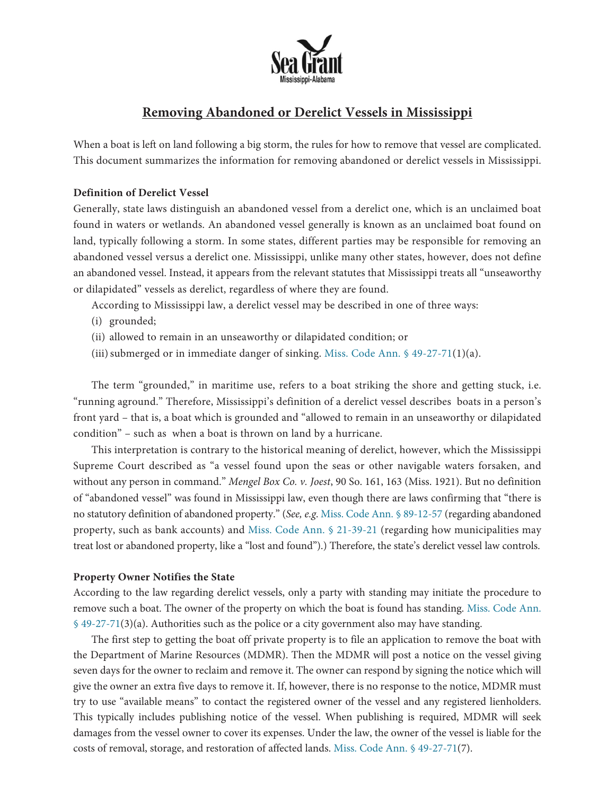

# **Removing Abandoned or Derelict Vessels in Mississippi**

When a boat is left on land following a big storm, the rules for how to remove that vessel are complicated. This document summarizes the information for removing abandoned or derelict vessels in Mississippi.

## **Definition of Derelict Vessel**

Generally, state laws distinguish an abandoned vessel from a derelict one, which is an unclaimed boat found in waters or wetlands. An abandoned vessel generally is known as an unclaimed boat found on land, typically following a storm. In some states, different parties may be responsible for removing an abandoned vessel versus a derelict one. Mississippi, unlike many other states, however, does not define an abandoned vessel. Instead, it appears from the relevant statutes that Mississippi treats all "unseaworthy or dilapidated" vessels as derelict, regardless of where they are found.

According to Mississippi law, a derelict vessel may be described in one of three ways:

- (i) grounded;
- (ii) allowed to remain in an unseaworthy or dilapidated condition; or
- (iii) submerged or in immediate danger of sinking. Miss. Code Ann.  $\frac{649-27-71(1)}{a}$ .

The term "grounded," in maritime use, refers to a boat striking the shore and getting stuck, i.e. "running aground." Therefore, Mississippi's definition of a derelict vessel describes boats in a person's front yard – that is, a boat which is grounded and "allowed to remain in an unseaworthy or dilapidated condition" – such as when a boat is thrown on land by a hurricane.

This interpretation is contrary to the historical meaning of derelict, however, which the Mississippi Supreme Court described as "a vessel found upon the seas or other navigable waters forsaken, and without any person in command." *Mengel Box Co. v. Joest*, 90 So. 161, 163 (Miss. 1921). But no definition of "abandoned vessel" was found in Mississippi law, even though there are laws confirming that "there is no statutory definition of abandoned property." (*See, e.g*. Miss. Code Ann. § [89-12-57](https://law.justia.com/codes/mississippi/2013/title-89/chapter-12/section-89-12-57/) (regarding abandoned property, such as bank accounts) and Miss. Code Ann. § [21-39-21](https://codes.findlaw.com/ms/title-21-municipalities/ms-code-sect-21-39-21.html#:~:text=No%20action%20shall%20be%20maintained,the%20sale%20as%20herein%20authorized) (regarding how municipalities may treat lost or abandoned property, like a "lost and found").) Therefore, the state's derelict vessel law controls.

### **Property Owner Notifies the State**

According to the law regarding derelict vessels, only a party with standing may initiate the procedure to remove such a boat. The owner of the property on which the boat is found has standing. Miss. [Code](https://law.justia.com/codes/mississippi/2016/title-49/chapter-27/section-49-27-71) Ann. § [49-27-71\(3\)\(a\).](https://law.justia.com/codes/mississippi/2016/title-49/chapter-27/section-49-27-71) Authorities such as the police or a city government also may have standing.

The first step to getting the boat off private property is to file an application to remove the boat with the Department of Marine Resources (MDMR). Then the MDMR will post a notice on the vessel giving seven days for the owner to reclaim and remove it. The owner can respond by signing the notice which will give the owner an extra five days to remove it. If, however, there is no response to the notice, MDMR must try to use "available means" to contact the registered owner of the vessel and any registered lienholders. This typically includes publishing notice of the vessel. When publishing is required, MDMR will seek damages from the vessel owner to cover its expenses. Under the law, the owner of the vessel is liable for the costs of removal, storage, and restoration of affected lands. Miss. Code Ann. § [49-27-71\(7\).](https://law.justia.com/codes/mississippi/2016/title-49/chapter-27/section-49-27-71)